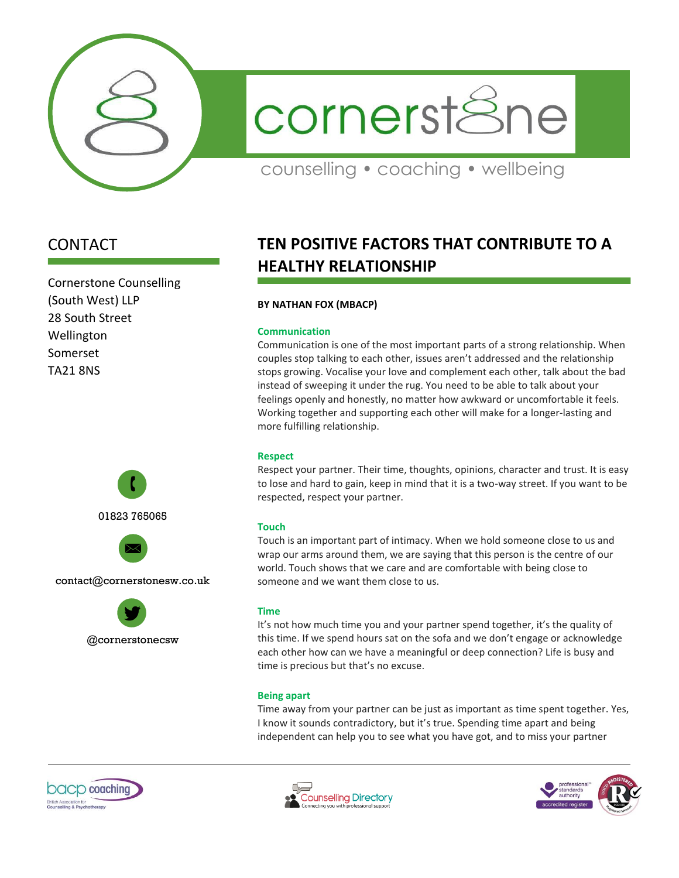

cornerstSne

counselling • coaching • wellbeing

# CONTACT

Cornerstone Counselling (South West) LLP 28 South Street Wellington Somerset TA21 8NS



@cornerstonecsw

# **TEN POSITIVE FACTORS THAT CONTRIBUTE TO A HEALTHY RELATIONSHIP**

# **BY NATHAN FOX (MBACP)**

#### **Communication**

Communication is one of the most important parts of a strong relationship. When couples stop talking to each other, issues aren't addressed and the relationship stops growing. Vocalise your love and complement each other, talk about the bad instead of sweeping it under the rug. You need to be able to talk about your feelings openly and honestly, no matter how awkward or uncomfortable it feels. Working together and supporting each other will make for a longer-lasting and more fulfilling relationship.

# **Respect**

Respect your partner. Their time, thoughts, opinions, character and trust. It is easy to lose and hard to gain, keep in mind that it is a two-way street. If you want to be respected, respect your partner.

# **Touch**

Touch is an important part of intimacy. When we hold someone close to us and wrap our arms around them, we are saying that this person is the centre of our world. Touch shows that we care and are comfortable with being close to someone and we want them close to us.

# **Time**

It's not how much time you and your partner spend together, it's the quality of this time. If we spend hours sat on the sofa and we don't engage or acknowledge each other how can we have a meaningful or deep connection? Life is busy and time is precious but that's no excuse.

# **Being apart**

Time away from your partner can be just as important as time spent together. Yes, I know it sounds contradictory, but it's true. Spending time apart and being independent can help you to see what you have got, and to miss your partner